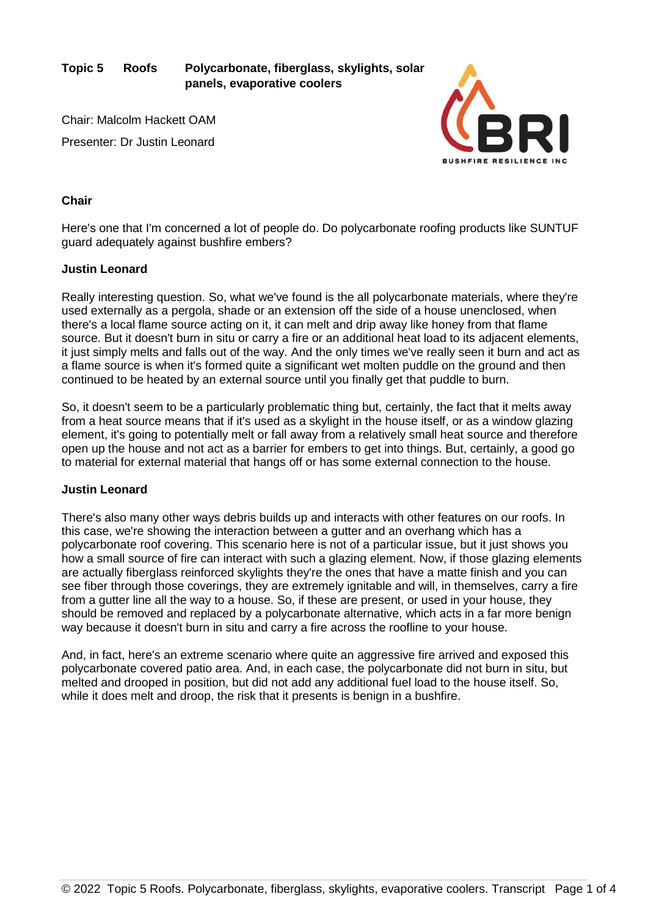**Topic 5 Roofs Polycarbonate, fiberglass, skylights, solar panels, evaporative coolers**

Chair: Malcolm Hackett OAM Presenter: Dr Justin Leonard



# **Chair**

Here's one that I'm concerned a lot of people do. Do polycarbonate roofing products like SUNTUF guard adequately against bushfire embers?

## **Justin Leonard**

Really interesting question. So, what we've found is the all polycarbonate materials, where they're used externally as a pergola, shade or an extension off the side of a house unenclosed, when there's a local flame source acting on it, it can melt and drip away like honey from that flame source. But it doesn't burn in situ or carry a fire or an additional heat load to its adjacent elements, it just simply melts and falls out of the way. And the only times we've really seen it burn and act as a flame source is when it's formed quite a significant wet molten puddle on the ground and then continued to be heated by an external source until you finally get that puddle to burn.

So, it doesn't seem to be a particularly problematic thing but, certainly, the fact that it melts away from a heat source means that if it's used as a skylight in the house itself, or as a window glazing element, it's going to potentially melt or fall away from a relatively small heat source and therefore open up the house and not act as a barrier for embers to get into things. But, certainly, a good go to material for external material that hangs off or has some external connection to the house.

## **Justin Leonard**

There's also many other ways debris builds up and interacts with other features on our roofs. In this case, we're showing the interaction between a gutter and an overhang which has a polycarbonate roof covering. This scenario here is not of a particular issue, but it just shows you how a small source of fire can interact with such a glazing element. Now, if those glazing elements are actually fiberglass reinforced skylights they're the ones that have a matte finish and you can see fiber through those coverings, they are extremely ignitable and will, in themselves, carry a fire from a gutter line all the way to a house. So, if these are present, or used in your house, they should be removed and replaced by a polycarbonate alternative, which acts in a far more benign way because it doesn't burn in situ and carry a fire across the roofline to your house.

And, in fact, here's an extreme scenario where quite an aggressive fire arrived and exposed this polycarbonate covered patio area. And, in each case, the polycarbonate did not burn in situ, but melted and drooped in position, but did not add any additional fuel load to the house itself. So, while it does melt and droop, the risk that it presents is benign in a bushfire.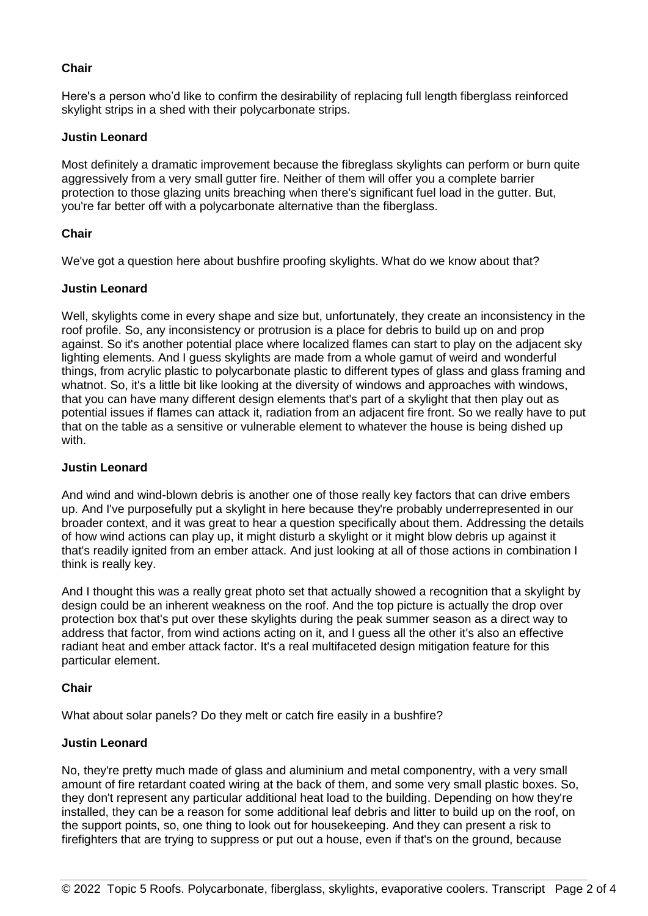# **Chair**

Here's a person who'd like to confirm the desirability of replacing full length fiberglass reinforced skylight strips in a shed with their polycarbonate strips.

## **Justin Leonard**

Most definitely a dramatic improvement because the fibreglass skylights can perform or burn quite aggressively from a very small gutter fire. Neither of them will offer you a complete barrier protection to those glazing units breaching when there's significant fuel load in the gutter. But, you're far better off with a polycarbonate alternative than the fiberglass.

# **Chair**

We've got a question here about bushfire proofing skylights. What do we know about that?

# **Justin Leonard**

Well, skylights come in every shape and size but, unfortunately, they create an inconsistency in the roof profile. So, any inconsistency or protrusion is a place for debris to build up on and prop against. So it's another potential place where localized flames can start to play on the adjacent sky lighting elements. And I guess skylights are made from a whole gamut of weird and wonderful things, from acrylic plastic to polycarbonate plastic to different types of glass and glass framing and whatnot. So, it's a little bit like looking at the diversity of windows and approaches with windows, that you can have many different design elements that's part of a skylight that then play out as potential issues if flames can attack it, radiation from an adjacent fire front. So we really have to put that on the table as a sensitive or vulnerable element to whatever the house is being dished up with.

## **Justin Leonard**

And wind and wind-blown debris is another one of those really key factors that can drive embers up. And I've purposefully put a skylight in here because they're probably underrepresented in our broader context, and it was great to hear a question specifically about them. Addressing the details of how wind actions can play up, it might disturb a skylight or it might blow debris up against it that's readily ignited from an ember attack. And just looking at all of those actions in combination I think is really key.

And I thought this was a really great photo set that actually showed a recognition that a skylight by design could be an inherent weakness on the roof. And the top picture is actually the drop over protection box that's put over these skylights during the peak summer season as a direct way to address that factor, from wind actions acting on it, and I guess all the other it's also an effective radiant heat and ember attack factor. It's a real multifaceted design mitigation feature for this particular element.

## **Chair**

What about solar panels? Do they melt or catch fire easily in a bushfire?

## **Justin Leonard**

No, they're pretty much made of glass and aluminium and metal componentry, with a very small amount of fire retardant coated wiring at the back of them, and some very small plastic boxes. So, they don't represent any particular additional heat load to the building. Depending on how they're installed, they can be a reason for some additional leaf debris and litter to build up on the roof, on the support points, so, one thing to look out for housekeeping. And they can present a risk to firefighters that are trying to suppress or put out a house, even if that's on the ground, because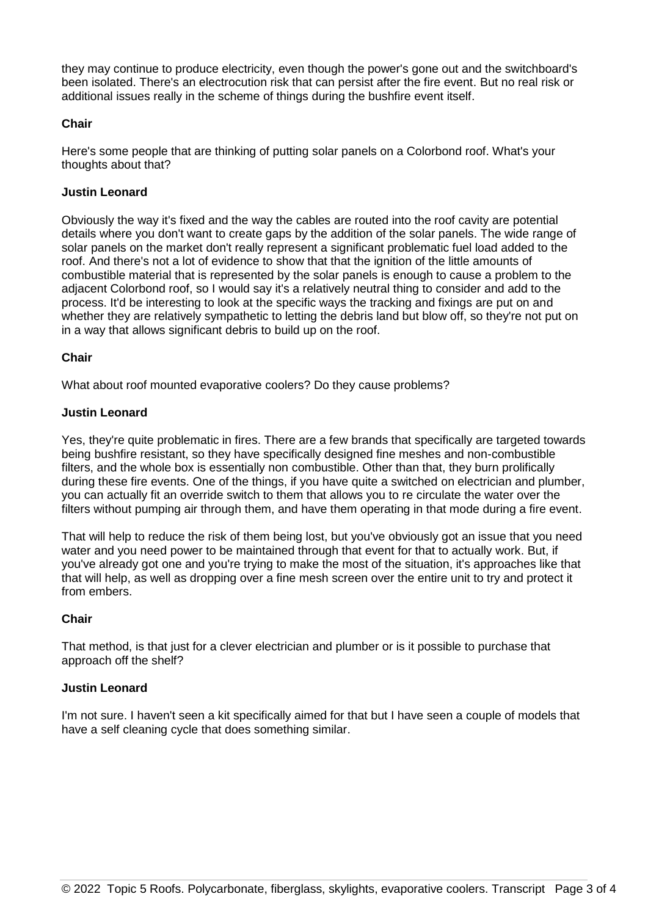they may continue to produce electricity, even though the power's gone out and the switchboard's been isolated. There's an electrocution risk that can persist after the fire event. But no real risk or additional issues really in the scheme of things during the bushfire event itself.

#### **Chair**

Here's some people that are thinking of putting solar panels on a Colorbond roof. What's your thoughts about that?

#### **Justin Leonard**

Obviously the way it's fixed and the way the cables are routed into the roof cavity are potential details where you don't want to create gaps by the addition of the solar panels. The wide range of solar panels on the market don't really represent a significant problematic fuel load added to the roof. And there's not a lot of evidence to show that that the ignition of the little amounts of combustible material that is represented by the solar panels is enough to cause a problem to the adjacent Colorbond roof, so I would say it's a relatively neutral thing to consider and add to the process. It'd be interesting to look at the specific ways the tracking and fixings are put on and whether they are relatively sympathetic to letting the debris land but blow off, so they're not put on in a way that allows significant debris to build up on the roof.

#### **Chair**

What about roof mounted evaporative coolers? Do they cause problems?

#### **Justin Leonard**

Yes, they're quite problematic in fires. There are a few brands that specifically are targeted towards being bushfire resistant, so they have specifically designed fine meshes and non-combustible filters, and the whole box is essentially non combustible. Other than that, they burn prolifically during these fire events. One of the things, if you have quite a switched on electrician and plumber, you can actually fit an override switch to them that allows you to re circulate the water over the filters without pumping air through them, and have them operating in that mode during a fire event.

That will help to reduce the risk of them being lost, but you've obviously got an issue that you need water and you need power to be maintained through that event for that to actually work. But, if you've already got one and you're trying to make the most of the situation, it's approaches like that that will help, as well as dropping over a fine mesh screen over the entire unit to try and protect it from embers.

#### **Chair**

That method, is that just for a clever electrician and plumber or is it possible to purchase that approach off the shelf?

## **Justin Leonard**

I'm not sure. I haven't seen a kit specifically aimed for that but I have seen a couple of models that have a self cleaning cycle that does something similar.